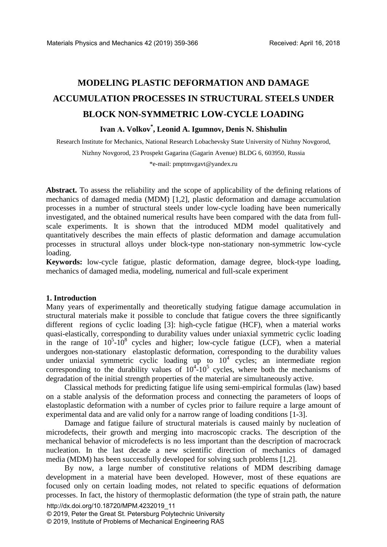# **MODELING PLASTIC DEFORMATION AND DAMAGE ACCUMULATION PROCESSES IN STRUCTURAL STEELS UNDER BLOCK NON-SYMMETRIC LOW-CYCLE LOADING**

# **Ivan А. Volkov\* , Leonid A. Igumnov, Denis N. Shishulin**

Research Institute for Mechanics, National Research Lobachevsky State University of Nizhny Novgorod, Nizhny Novgorod, 23 Prospekt Gagarina (Gagarin Avenue) BLDG 6, 603950, Russia \*e-mail: pmptmvgavt@yandex.ru

**Abstract.** To assess the reliability and the scope of applicability of the defining relations of mechanics of damaged media (MDM) [1,2], plastic deformation and damage accumulation processes in a number of structural steels under low-cycle loading have been numerically investigated, and the obtained numerical results have been compared with the data from fullscale experiments. It is shown that the introduced MDM model qualitatively and quantitatively describes the main effects of plastic deformation and damage accumulation processes in structural alloys under block-type non-stationary non-symmetric low-cycle loading.

**Keywords:** low-cycle fatigue, plastic deformation, damage degree, block-type loading, mechanics of damaged media, modeling, numerical and full-scale experiment

# **1. Introduction**

Many years of experimentally and theoretically studying fatigue damage accumulation in structural materials make it possible to conclude that fatigue covers the three significantly different regions of cyclic loading [3]: high-cycle fatigue (HCF), when a material works quasi-elastically, corresponding to durability values under uniaxial symmetric cyclic loading in the range of  $10^5$ - $10^8$  cycles and higher; low-cycle fatigue (LCF), when a material undergoes non-stationary elastoplastic deformation, corresponding to the durability values under uniaxial symmetric cyclic loading up to  $10^4$  cycles; an intermediate region corresponding to the durability values of  $10^{4}$ - $10^{5}$  cycles, where both the mechanisms of degradation of the initial strength properties of the material are simultaneously active.

Classical methods for predicting fatigue life using semi-empirical formulas (law) based on a stable analysis of the deformation process and connecting the parameters of loops of elastoplastic deformation with a number of cycles prior to failure require a large amount of experimental data and are valid only for a narrow range of loading conditions [1-3].

Damage and fatigue failure of structural materials is caused mainly by nucleation of microdefects, their growth and merging into macroscopic cracks. The description of the mechanical behavior of microdefects is no less important than the description of macrocrack nucleation. In the last decade a new scientific direction of mechanics of damaged media (MDM) has been successfully developed for solving such problems [1,2].

By now, a large number of constitutive relations of MDM describing damage development in a material have been developed. However, most of these equations are focused only on certain loading modes, not related to specific equations of deformation processes. In fact, the history of thermoplastic deformation (the type of strain path, the nature

© 2019, Peter the Great St. Petersburg Polytechnic University

© 2019, Institute of Problems of Mechanical Engineering RAS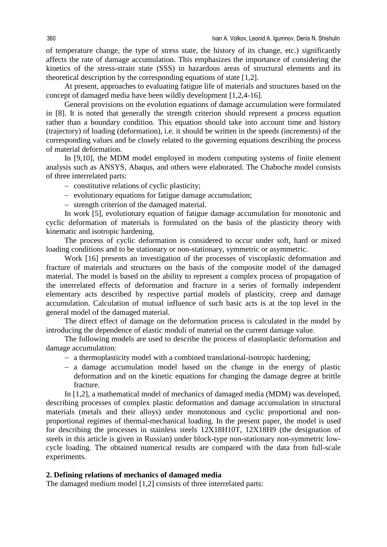of temperature change, the type of stress state, the history of its change, etc.) significantly affects the rate of damage accumulation. This emphasizes the importance of considering the kinetics of the stress-strain state (SSS) in hazardous areas of structural elements and its theoretical description by the corresponding equations of state [1,2].

At present, approaches to evaluating fatigue life of materials and structures based on the concept of damaged media have been wildly development [1,2,4-16].

General provisions on the evolution equations of damage accumulation were formulated in [8]. It is noted that generally the strength criterion should represent a process equation rather than a boundary condition. This equation should take into account time and history (trajectory) of loading (deformation), i.e. it should be written in the speeds (increments) of the corresponding values and be closely related to the governing equations describing the process of material deformation.

In [9,10], the MDM model employed in modern computing systems of finite element analysis such as ANSYS, Abaqus, and others were elaborated. The Chaboche model consists of three interrelated parts:

- − constitutive relations of cyclic plasticity;
- − evolutionary equations for fatigue damage accumulation;
- − strength criterion of the damaged material.

In work [5], evolutionary equation of fatigue damage accumulation for monotonic and cyclic deformation of materials is formulated on the basis of the plasticity theory with kinematic and isotropic hardening.

The process of cyclic deformation is considered to occur under soft, hard or mixed loading conditions and to be stationary or non-stationary, symmetric or asymmetric.

Work [16] presents an investigation of the processes of viscoplastic deformation and fracture of materials and structures on the basis of the composite model of the damaged material. The model is based on the ability to represent a complex process of propagation of the interrelated effects of deformation and fracture in a series of formally independent elementary acts described by respective partial models of plasticity, creep and damage accumulation. Calculation of mutual influence of such basic acts is at the top level in the general model of the damaged material.

The direct effect of damage on the deformation process is calculated in the model by introducing the dependence of elastic moduli of material on the current damage value.

The following models are used to describe the process of elastoplastic deformation and damage accumulation:

- − a thermoplasticity model with a combined translational-isotropic hardening;
- − a damage accumulation model based on the change in the energy of plastic deformation and on the kinetic equations for changing the damage degree at brittle fracture.

In [1,2], a mathematical model of mechanics of damaged media (MDM) was developed, describing processes of complex plastic deformation and damage accumulation in structural materials (metals and their alloys) under monotonous and cyclic proportional and nonproportional regimes of thermal-mechanical loading. In the present paper, the model is used for describing the processes in stainless steels 12Х18Н10Т, 12Х18Н9 (the designation of steels in this article is given in Russian) under block-type non-stationary non-symmetric lowcycle loading. The obtained numerical results are compared with the data from full-scale experiments.

# **2. Defining relations of mechanics of damaged media**

The damaged medium model [1,2] consists of three interrelated parts: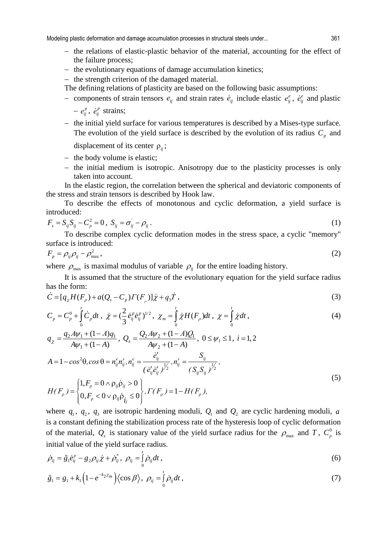Modeling plastic deformation and damage accumulation processes in structural steels under... 361

- − the relations of elastic-plastic behavior of the material, accounting for the effect of the failure process;
- − the evolutionary equations of damage accumulation kinetics;
- − the strength criterion of the damaged material.
- The defining relations of plasticity are based on the following basic assumptions:
- − components of strain tensors  $e_{ij}$  and strain rates  $\dot{e}_{ij}$  include elastic  $e_{ij}^e$ ,  $\dot{e}_{ij}^e$  and plastic
	- $-e_{ij}^p$ ,  $\dot{e}_{ij}^p$  strains;
- − the initial yield surface for various temperatures is described by a Mises-type surface. The evolution of the yield surface is described by the evolution of its radius  $C_p$  and

displacement of its center  $\rho_{ii}$ ;

- − the body volume is elastic;
- − the initial medium is isotropic. Anisotropy due to the plasticity processes is only taken into account.

In the elastic region, the correlation between the spherical and deviatoric components of the stress and strain tensors is described by Hook law.

To describe the effects of monotonous and cyclic deformation, a yield surface is introduced:

$$
F_s = S_{ij} S_{ij} - C_p^2 = 0, \ S_{ij} = \sigma_{ij} - \rho_{ij} \,.
$$
 (1)

To describe complex cyclic deformation modes in the stress space, a cyclic "memory" surface is introduced:

$$
F_p = \rho_{ij}\rho_{ij} - \rho_{\text{max}}^2\,,\tag{2}
$$

where  $\rho_{\text{max}}$  is maximal modulus of variable  $\rho_{ij}$  for the entire loading history.

It is assumed that the structure of the evolutionary equation for the yield surface radius has the form:

$$
\dot{C} = [q_{\chi}H(F_{\rho}) + a(Q_{s} - C_{p})\Gamma(F_{\rho})]\dot{\chi} + q_{3}\dot{T}, \qquad (3)
$$

$$
C_p = C_p^0 + \int_0^t \dot{C}_p dt \ , \ \dot{\chi} = (\frac{2}{3} \dot{e}_{ij}^p \dot{e}_{ij}^p)^{1/2} \ , \ \chi_m = \int_0^t \dot{\chi} H(F_\rho) dt \ , \ \chi = \int_0^t \dot{\chi} dt \ , \tag{4}
$$

$$
q_{\chi} = \frac{q_2 A \psi_1 + (1 - A) q_1}{A \psi_1 + (1 - A)}, \ Q_s = \frac{Q_2 A \psi_2 + (1 - A) Q_1}{A \psi_2 + (1 - A)}, \ 0 \le \psi_i \le 1, \ i = 1, 2
$$
  

$$
A = 1 - \cos^2 \theta, \cos \theta = n_{ij}^e n_{ij}^s, n_{ij}^e = \frac{\dot{e}_{ij}^t}{(\dot{e}_{ij}^t \dot{e}_{ij}^t)^{\frac{1}{2}}}, n_{ij}^s = \frac{S_{ij}}{(S_{ij} S_{ij})^{\frac{1}{2}}},
$$

$$
H(F_\rho) = \begin{cases} 1, F_\rho = 0 \land \rho_{ij} \dot{\rho}_{ij} > 0 \\ 0, F_\rho < 0 \lor \rho_{ij} \dot{\rho}_{ij} \le 0 \end{cases}, \Gamma(F_\rho) = 1 - H(F_\rho), \tag{5}
$$

where  $q_1$ ,  $q_2$ ,  $q_3$  are isotropic hardening moduli,  $Q_1$  and  $Q_2$  are cyclic hardening moduli, *a* is a constant defining the stabilization process rate of the hysteresis loop of cyclic deformation of the material,  $Q_s$  is stationary value of the yield surface radius for the  $\rho_{\text{max}}$  and *T*,  $C_p^0$  is initial value of the yield surface radius.

$$
\dot{\rho}_{ij} = \tilde{g}_1 \dot{e}_{ij}^p - g_2 \rho_{ij} \dot{\chi} + \dot{\rho}_{ij}^*, \ \rho_{ij} = \int_0^t \dot{\rho}_{ij} dt \,, \tag{6}
$$

$$
\tilde{g}_1 = g_1 + k_1 \left( 1 - e^{-k_2 z_m} \right) \left\langle \cos \beta \right\rangle, \ \rho_{ij} = \int_0^t \dot{\rho}_{ij} dt \,, \tag{7}
$$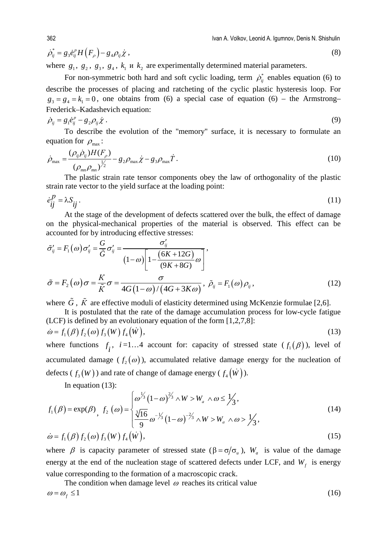$$
\dot{\rho}_{ij}^* = g_3 \dot{e}_{ij}^p H\left(F_{\rho}\right) - g_4 \rho_{ij} \dot{\chi} \,,\tag{8}
$$

where  $g_1, g_2, g_3, g_4, k_1$  *u*  $k_2$  are experimentally determined material parameters.

For non-symmetric both hard and soft cyclic loading, term  $\dot{\rho}_i^*$  enables equation (6) to describe the processes of placing and ratcheting of the cyclic plastic hysteresis loop. For  $g_3 = g_4 = k_1 = 0$ , one obtains from (6) a special case of equation (6) – the Armstrong– Frederick–Kadashevich equation:

$$
\dot{\rho}_{ij} = g_1 \dot{e}_{ij}^p - g_2 \rho_{ij} \dot{\chi} \,. \tag{9}
$$

To describe the evolution of the "memory" surface, it is necessary to formulate an equation for  $\rho_{\text{max}}$ :

$$
\dot{\rho}_{\text{max}} = \frac{(\rho_{ij}\dot{\rho}_{ij})H(F_{\rho})}{(\rho_{mn}\rho_{mn})^{\frac{1}{2}}} - g_2\rho_{\text{max}}\dot{\chi} - g_3\rho_{\text{max}}\dot{T}.
$$
\n(10)

The plastic strain rate tensor components obey the law of orthogonality of the plastic strain rate vector to the yield surface at the loading point:

$$
\dot{e}_{ij}^P = \lambda S_{ij} \,. \tag{11}
$$

At the stage of the development of defects scattered over the bulk, the effect of damage on the physical-mechanical properties of the material is observed. This effect can be accounted for by introducing effective stresses:

$$
\tilde{\sigma}_{ij}^{\prime} = F_1(\omega)\sigma_{ij}^{\prime} = \frac{G}{\tilde{G}}\sigma_{ij}^{\prime} = \frac{\sigma_{ij}^{\prime}}{(1-\omega)\left[1 - \frac{(6K + 12G)}{(9K + 8G)}\omega\right]},
$$
\n
$$
\tilde{\sigma} = F_2(\omega)\sigma = \frac{K}{\tilde{K}}\sigma = \frac{\sigma}{4G(1-\omega)/(4G + 3K\omega)}, \ \tilde{\rho}_{ij} = F_1(\omega)\rho_{ij},
$$
\n(12)

where  $\tilde{G}$ ,  $\tilde{K}$  are effective moduli of elasticity determined using McKenzie formulae [2,6].

It is postulated that the rate of the damage accumulation process for low-cycle fatigue (LCF) is defined by an evolutionary equation of the form [1,2,7,8]:

$$
\dot{\omega} = f_1(\beta) f_2(\omega) f_3(W) f_4(W), \qquad (13)
$$

where functions  $f_i$ ,  $i=1...4$  account for: capacity of stressed state  $(f_i(\beta))$ , level of accumulated damage ( $f_2(\omega)$ ), accumulated relative damage energy for the nucleation of defects ( $f_3(W)$ ) and rate of change of damage energy ( $f_4(W)$ ).

In equation (13):

$$
f_1(\beta) = \exp(\beta), \ f_2(\omega) = \begin{cases} \omega^{1/3} (1-\omega)^{2/3} \wedge W > W_a \wedge \omega \le 1/3, \\ \frac{3}{16} \omega^{-1/3} (1-\omega)^{-2/3} \wedge W > W_a \wedge \omega > 1/3, \\ 0 > 0 \end{cases} \tag{14}
$$
\n
$$
\dot{\omega} = f_1(\beta) f_2(\omega) f_3(W) f_4(W), \tag{15}
$$

where 
$$
\beta
$$
 is capacity parameter of stressed state ( $\beta = \sigma/\sigma_u$ ),  $W_a$  is value of the damage  
energy at the end of the nucleation stage of scattered defects under LCF, and  $W_f$  is energy  
value corresponding to the formation of a macroscopic crack.

The condition when damage level  $\omega$  reaches its critical value  $\omega = \omega_f \le 1$  (16)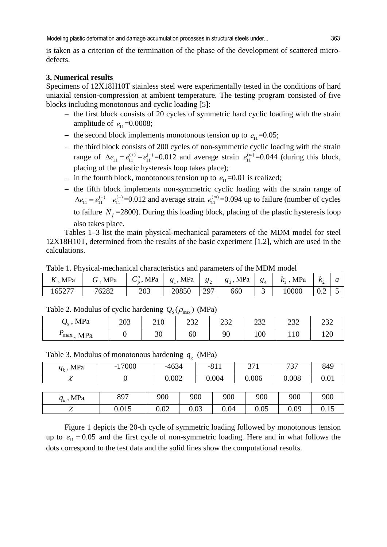is taken as a criterion of the termination of the phase of the development of scattered microdefects.

#### **3. Numerical results**

Specimens of 12Х18Н10Т stainless steel were experimentally tested in the conditions of hard uniaxial tension-compression at ambient temperature. The testing program consisted of five blocks including monotonous and cyclic loading [5]:

- − the first block consists of 20 cycles of symmetric hard cyclic loading with the strain amplitude of  $e_{11} = 0.0008$ ;
- $-$  the second block implements monotonous tension up to  $e_{11} = 0.05$ ;
- − the third block consists of 200 cycles of non-symmetric cyclic loading with the strain range of  $\Delta e_{11} = e_{11}^{(+)} - e_{11}^{(-)} = 0.012$  and average strain  $e_{11}^{(m)} = 0.044$  (during this block, placing of the plastic hysteresis loop takes place);
- − in the fourth block, monotonous tension up to  $e_1$  =0.01 is realized;
- − the fifth block implements non-symmetric cyclic loading with the strain range of  $\Delta e_{11} = e_{11}^{(+)} - e_{11}^{(-)} = 0.012$  and average strain  $e_{11}^{(m)} = 0.094$  up to failure (number of cycles to failure  $N_f$  =2800). During this loading block, placing of the plastic hysteresis loop also takes place.

Tables 1–3 list the main physical-mechanical parameters of the MDM model for steel 12Х18Н10Т, determined from the results of the basic experiment [1,2], which are used in the calculations.

Table 1. Physical-mechanical characteristics and parameters of the MDM model

| MPa    | $G$ , MPa | $C_p^o$ , MPa | $g_1$ , MPa | $g_2$ | $g_3$ , MPa | $\frac{1}{8}$ | , MPa<br>$K_{1}$ | $k_{\alpha}$ |  |
|--------|-----------|---------------|-------------|-------|-------------|---------------|------------------|--------------|--|
| 165277 | 76282     | 203           | 20850       | 297   | 660         |               | 10000            | ∪.∠          |  |

Table 2. Modulus of cyclic hardening  $Q_s(\rho_{\text{max}})$  (MPa)

| $Q_{s}$ , MPa           | 203 | 210<br>210 | າາາ<br>ے ت | $\cap \cap$<br>ے ب | າາາ<br>ے ت | າາາ<br>ے ت | $\cap$<br>ے ب          |
|-------------------------|-----|------------|------------|--------------------|------------|------------|------------------------|
| MPa<br>$\mathbf{m}$ max |     | 30         | 60         | 90                 | 100        | 110        | $1 \cap \Omega$<br>⊥∠∪ |

Table 3. Modulus of monotonous hardening *q*<sup>χ</sup> (МPа)

| $U_{I}$        |          |         |       |        |       |     |       |       |      |  |  |
|----------------|----------|---------|-------|--------|-------|-----|-------|-------|------|--|--|
| $q_{_k}$ , MPa | $-17000$ | $-4634$ |       | $-811$ |       | 371 |       | 737   | 849  |  |  |
| $\gamma$       |          |         | 0.002 |        | 0.004 |     | 0.006 | 0.008 | 0.01 |  |  |
|                |          |         |       |        |       |     |       |       |      |  |  |
| $q_k$ , MPa    | 897      | 900     |       | 900    | 900   |     | 900   | 900   | 900  |  |  |
| $\sim$<br>π    | 0.015    | 0.02    |       | 0.03   | 0.04  |     | 0.05  | 0.09  | 0.15 |  |  |

Figure 1 depicts the 20-th cycle of symmetric loading followed by monotonous tension up to  $e_{11} = 0.05$  and the first cycle of non-symmetric loading. Here and in what follows the dots correspond to the test data and the solid lines show the computational results.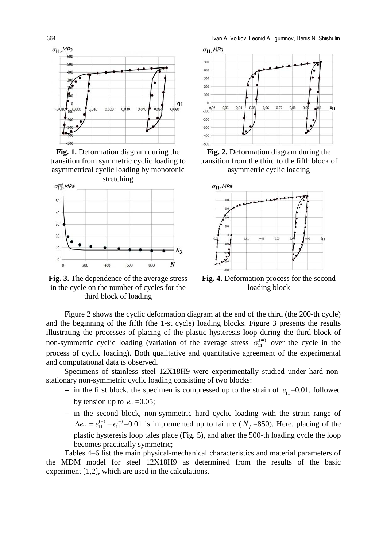

**Fig. 1.** Deformation diagram during the transition from symmetric cyclic loading to asymmetrical cyclic loading by monotonic



**Fig. 3.** The dependence of the average stress in the cycle on the number of cycles for the third block of loading

364 Ivan А. Volkov, Leonid A. Igumnov, Denis N. Shishulin



**Fig. 2.** Deformation diagram during the transition from the third to the fifth block of asymmetric cyclic loading



**Fig. 4.** Deformation process for the second loading block

Figure 2 shows the cyclic deformation diagram at the end of the third (the 200-th cycle) and the beginning of the fifth (the 1-st cycle) loading blocks. Figure 3 presents the results illustrating the processes of placing of the plastic hysteresis loop during the third block of non-symmetric cyclic loading (variation of the average stress  $\sigma_{11}^{(m)}$  over the cycle in the process of cyclic loading). Both qualitative and quantitative agreement of the experimental and computational data is observed.

Specimens of stainless steel 12Х18Н9 were experimentally studied under hard nonstationary non-symmetric cyclic loading consisting of two blocks:

- − in the first block, the specimen is compressed up to the strain of  $e_{11}$  =0.01, followed by tension up to  $e_1 = 0.05$ ;
- − in the second block, non-symmetric hard cyclic loading with the strain range of  $\Delta e_{11} = e_{11}^{(+)} - e_{11}^{(-)} = 0.01$  is implemented up to failure ( $N_f = 850$ ). Here, placing of the plastic hysteresis loop tales place (Fig. 5), and after the 500-th loading cycle the loop becomes practically symmetric;

Tables 4–6 list the main physical-mechanical characteristics and material parameters of the MDM model for steel 12Х18Н9 as determined from the results of the basic experiment [1,2], which are used in the calculations.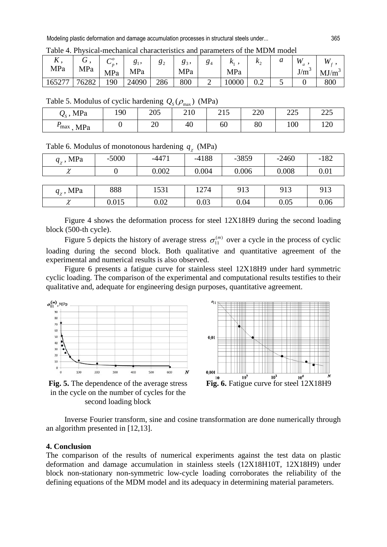|        |       | $\sim$<br>$\mathbf{v}_n$ , |       | $\mathbf{O} \mathbf{2}$ | $\delta$ 3. | 04 | $\mathbf{r}_{1}$ | $\mathbf{r}$<br>∸ |   | W             | W    |
|--------|-------|----------------------------|-------|-------------------------|-------------|----|------------------|-------------------|---|---------------|------|
| MPa    | MPa   | MPa                        | MPa   |                         | MPa         |    | MPa              |                   |   | $\sim$<br>J/m | MJ/m |
| 165277 | 76282 | 190                        | 24090 | 286                     | 800         |    | 0000             | ∪.∠               | ັ |               | 800  |

Table 4. Physical-mechanical characteristics and parameters of the MDM model

Table 5. Modulus of cyclic hardening  $Q_s(\rho_{\text{max}})$  (MPa)

| $Q_{s}$ , MPa           | 190 | 205      | 210 | 215<br>ل 1 ک | 220 | $\Omega$<br>ر ے کے | つつよ<br>ل کا ک   |
|-------------------------|-----|----------|-----|--------------|-----|--------------------|-----------------|
| MPa<br>$\mathbf{r}$ max |     | ററ<br>∠∪ | 40  | 60           | 80  | 100                | $1 \cap \Omega$ |

Table 6. Modulus of monotonous hardening  $q_\chi$  (MPa)

| $q_{\gamma}$ , MPa | $-5000$ | $-4471$ | $-4188$ | $-3859$ | $-2460$ | $-182$ |
|--------------------|---------|---------|---------|---------|---------|--------|
| $\chi$             |         | 0.002   | 0.004   | 0.006   | 0.008   | 0.01   |
|                    |         |         |         |         |         |        |
| $q_{\gamma}$ , MPa | 888     | 1531    | 1274    | 913     | 913     | 913    |
| $\chi$             | 0.015   | 0.02    | 0.03    | 0.04    | 0.05    | 0.06   |

Figure 4 shows the deformation process for steel 12Х18Н9 during the second loading block (500-th cycle).

Figure 5 depicts the history of average stress  $\sigma_{11}^{(m)}$  over a cycle in the process of cyclic loading during the second block. Both qualitative and quantitative agreement of the experimental and numerical results is also observed.

Figure 6 presents a fatigue curve for stainless steel 12Х18Н9 under hard symmetric cyclic loading. The comparison of the experimental and computational results testifies to their qualitative and, adequate for engineering design purposes, quantitative agreement.





**Fig. 5.** The dependence of the average stress in the cycle on the number of cycles for the second loading block

Inverse Fourier transform, sine and cosine transformation are done numerically through an algorithm presented in [12,13].

### **4. Conclusion**

The comparison of the results of numerical experiments against the test data on plastic deformation and damage accumulation in stainless steels (12Х18Н10Т, 12Х18Н9) under block non-stationary non-symmetric low-cycle loading corroborates the reliability of the defining equations of the MDM model and its adequacy in determining material parameters.